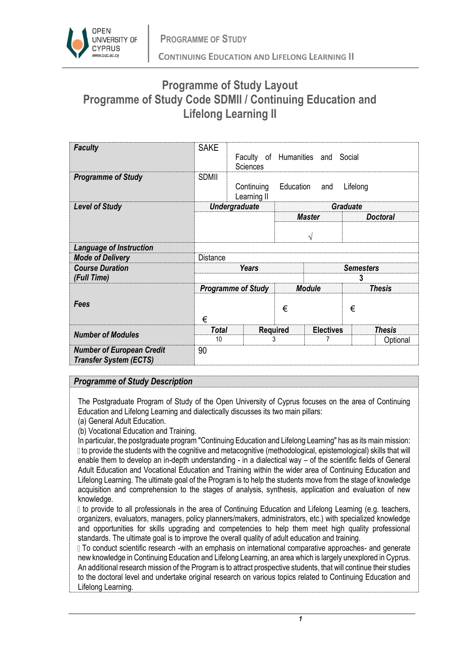

## **Programme of Study Layout Programme of Study Code SDMII / Continuing Education and Lifelong Learning II**

| <b>Faculty</b>                                                    | <b>SAKE</b>               | Faculty of Humanities and Social<br><b>Sciences</b> |                  |                  |          |                 |  |
|-------------------------------------------------------------------|---------------------------|-----------------------------------------------------|------------------|------------------|----------|-----------------|--|
| <b>Programme of Study</b>                                         | <b>SDMII</b>              | Continuing<br>Learning II                           | Education        | and              | Lifelong |                 |  |
| <b>Level of Study</b>                                             |                           | <b>Undergraduate</b>                                | <b>Graduate</b>  |                  |          |                 |  |
|                                                                   |                           |                                                     |                  | <b>Master</b>    |          | <b>Doctoral</b> |  |
|                                                                   |                           |                                                     | V                |                  |          |                 |  |
| <b>Language of Instruction</b>                                    |                           |                                                     |                  |                  |          |                 |  |
| <b>Mode of Delivery</b>                                           | <b>Distance</b>           |                                                     |                  |                  |          |                 |  |
| <b>Course Duration</b>                                            |                           | <b>Years</b>                                        | <b>Semesters</b> |                  |          |                 |  |
| (Full Time)                                                       |                           |                                                     |                  |                  | 3        |                 |  |
|                                                                   | <b>Programme of Study</b> |                                                     | <b>Module</b>    |                  |          | <b>Thesis</b>   |  |
| Fees                                                              | €                         |                                                     | €                |                  | €        |                 |  |
| <b>Number of Modules</b>                                          | <b>Total</b>              | <b>Required</b>                                     |                  | <b>Electives</b> |          | <b>Thesis</b>   |  |
|                                                                   | 10                        | 3                                                   |                  |                  |          | Optional        |  |
| <b>Number of European Credit</b><br><b>Transfer System (ECTS)</b> | 90                        |                                                     |                  |                  |          |                 |  |

## *Programme of Study Description*

The Postgraduate Program of Study of the Open University of Cyprus focuses on the area of Continuing Education and Lifelong Learning and dialectically discusses its two main pillars:

(a) General Adult Education.

(b) Vocational Education and Training.

In particular, the postgraduate program "Continuing Education and Lifelong Learning" has as its main mission: If to provide the students with the cognitive and metacognitive (methodological, epistemological) skills that will enable them to develop an in-depth understanding - in a dialectical way – of the scientific fields of General Adult Education and Vocational Education and Training within the wider area of Continuing Education and Lifelong Learning. The ultimate goal of the Program is to help the students move from the stage of knowledge acquisition and comprehension to the stages of analysis, synthesis, application and evaluation of new knowledge.

If to provide to all professionals in the area of Continuing Education and Lifelong Learning (e.g. teachers, organizers, evaluators, managers, policy planners/makers, administrators, etc.) with specialized knowledge and opportunities for skills upgrading and competencies to help them meet high quality professional standards. The ultimate goal is to improve the overall quality of adult education and training.

To conduct scientific research -with an emphasis on international comparative approaches- and generate new knowledge in Continuing Education and Lifelong Learning, an area which is largely unexplored in Cyprus. An additional research mission of the Program is to attract prospective students, that will continue their studies to the doctoral level and undertake original research on various topics related to Continuing Education and Lifelong Learning.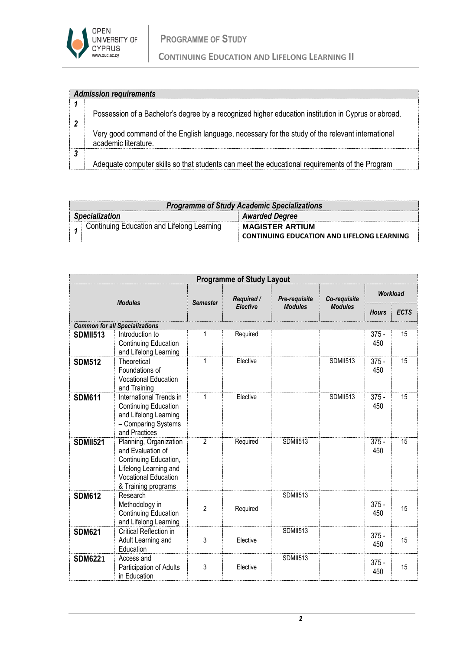

|   | <b>Admission requirements</b>                                                                       |
|---|-----------------------------------------------------------------------------------------------------|
|   |                                                                                                     |
|   |                                                                                                     |
|   |                                                                                                     |
|   | Possession of a Bachelor's degree by a recognized higher education institution in Cyprus or abroad. |
|   |                                                                                                     |
|   | Very good command of the English language, necessary for the study of the relevant international    |
|   |                                                                                                     |
|   | academic literature.                                                                                |
|   |                                                                                                     |
| 3 |                                                                                                     |
|   |                                                                                                     |
|   | Adequate computer skills so that students can meet the educational requirements of the Program      |

| <b>Programme of Study Academic Specializations</b> |                                                   |  |  |  |  |  |  |
|----------------------------------------------------|---------------------------------------------------|--|--|--|--|--|--|
| <b>Specialization</b>                              | <b>Awarded Degree</b>                             |  |  |  |  |  |  |
| Continuing Education and Lifelong Learning         | <b>MAGISTER ARTIUM</b>                            |  |  |  |  |  |  |
|                                                    | <b>CONTINUING EDUCATION AND LIFELONG LEARNING</b> |  |  |  |  |  |  |

| <b>Programme of Study Layout</b>      |                                                                                                                                                     |                 |                 |                      |                 |                 |             |  |  |
|---------------------------------------|-----------------------------------------------------------------------------------------------------------------------------------------------------|-----------------|-----------------|----------------------|-----------------|-----------------|-------------|--|--|
| <b>Modules</b>                        |                                                                                                                                                     | <b>Semester</b> | Required /      | <b>Pre-requisite</b> | Co-requisite    | <b>Workload</b> |             |  |  |
|                                       |                                                                                                                                                     |                 | <b>Elective</b> | <b>Modules</b>       | <b>Modules</b>  | <b>Hours</b>    | <b>ECTS</b> |  |  |
| <b>Common for all Specializations</b> |                                                                                                                                                     |                 |                 |                      |                 |                 |             |  |  |
| <b>SDMII513</b>                       | Introduction to<br>Continuing Education<br>and Lifelong Learning                                                                                    | 1               | Required        |                      |                 | $375 -$<br>450  | 15          |  |  |
| <b>SDM512</b>                         | Theoretical<br>Foundations of<br>Vocational Education<br>and Training                                                                               | 1               | Elective        |                      | <b>SDMII513</b> | $375 -$<br>450  | 15          |  |  |
| <b>SDM611</b>                         | International Trends in<br>Continuing Education<br>and Lifelong Learning<br>- Comparing Systems<br>and Practices                                    | 1               | Elective        |                      | <b>SDMII513</b> | $375 -$<br>450  | 15          |  |  |
| <b>SDMII521</b>                       | Planning, Organization<br>and Evaluation of<br>Continuing Education,<br>Lifelong Learning and<br><b>Vocational Education</b><br>& Training programs | $\overline{2}$  | Required        | <b>SDMII513</b>      |                 | $375 -$<br>450  | 15          |  |  |
| <b>SDM612</b>                         | Research<br>Methodology in<br>Continuing Education<br>and Lifelong Learning                                                                         | $\overline{c}$  | Required        | <b>SDMII513</b>      |                 | $375 -$<br>450  | 15          |  |  |
| <b>SDM621</b>                         | Critical Reflection in<br>Adult Learning and<br>Education                                                                                           | 3               | Elective        | <b>SDMII513</b>      |                 | $375 -$<br>450  | 15          |  |  |
| <b>SDM6221</b>                        | Access and<br>Participation of Adults<br>in Education                                                                                               | 3               | Elective        | <b>SDMII513</b>      |                 | $375 -$<br>450  | 15          |  |  |